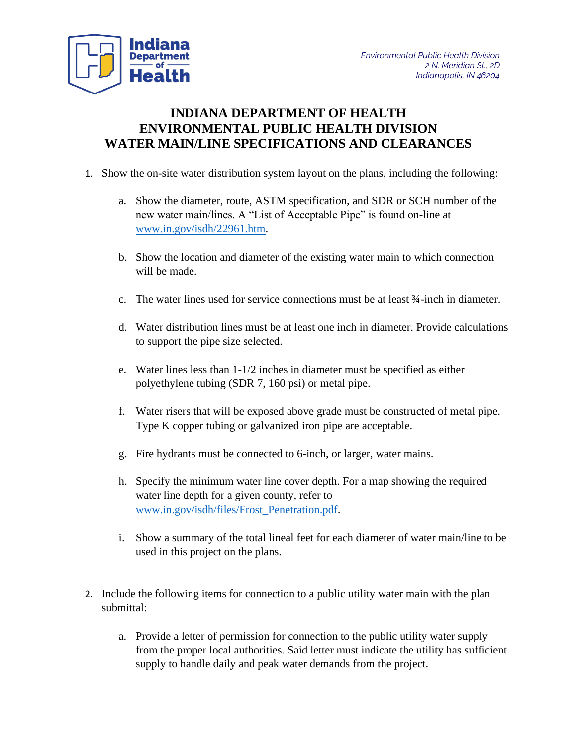

## **INDIANA DEPARTMENT OF HEALTH ENVIRONMENTAL PUBLIC HEALTH DIVISION WATER MAIN/LINE SPECIFICATIONS AND CLEARANCES**

- 1. Show the on-site water distribution system layout on the plans, including the following:
	- a. Show the diameter, route, ASTM specification, and SDR or SCH number of the new water main/lines. A "List of Acceptable Pipe" is found on-line at [www.in.gov/isdh/22961.htm.](http://www.in.gov/isdh/22961.htm)
	- b. Show the location and diameter of the existing water main to which connection will be made.
	- c. The water lines used for service connections must be at least ¾-inch in diameter.
	- d. Water distribution lines must be at least one inch in diameter. Provide calculations to support the pipe size selected.
	- e. Water lines less than 1-1/2 inches in diameter must be specified as either polyethylene tubing (SDR 7, 160 psi) or metal pipe.
	- f. Water risers that will be exposed above grade must be constructed of metal pipe. Type K copper tubing or galvanized iron pipe are acceptable.
	- g. Fire hydrants must be connected to 6-inch, or larger, water mains.
	- h. Specify the minimum water line cover depth. For a map showing the required water line depth for a given county, refer to [www.in.gov/isdh/files/Frost\\_Penetration.pdf.](http://www.in.gov/isdh/files/Frost_Penetration.pdf)
	- i. Show a summary of the total lineal feet for each diameter of water main/line to be used in this project on the plans.
- 2. Include the following items for connection to a public utility water main with the plan submittal:
	- a. Provide a letter of permission for connection to the public utility water supply from the proper local authorities. Said letter must indicate the utility has sufficient supply to handle daily and peak water demands from the project.